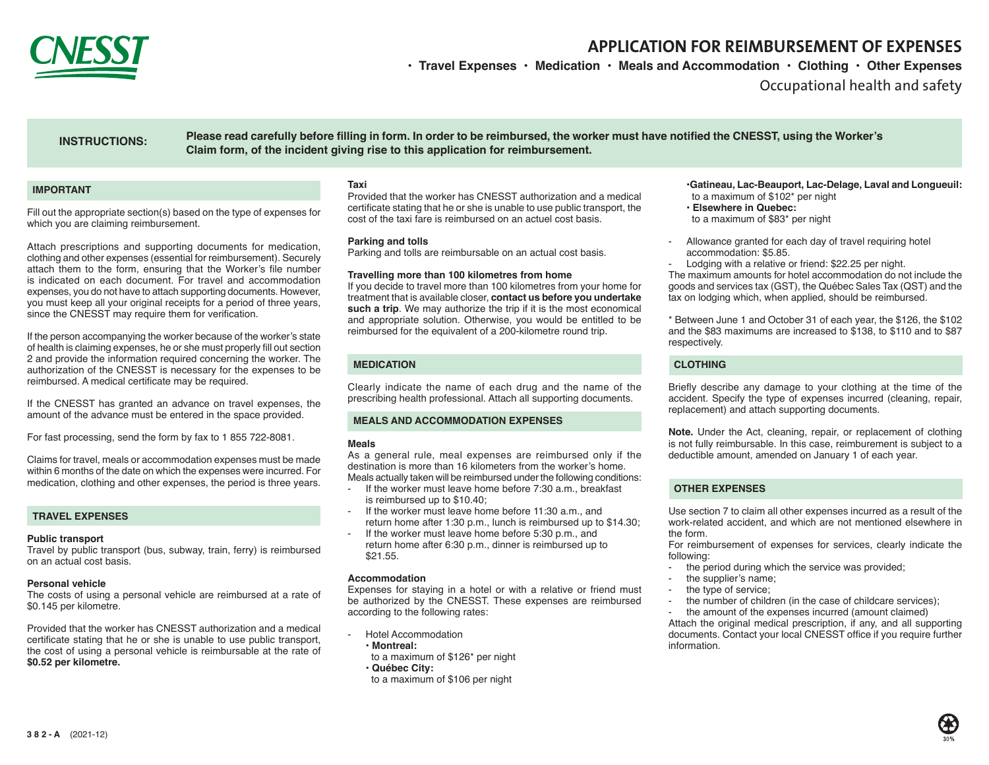

# **APPLICATION FOR REIMBURSEMENT OF EXPENSES**

**• Travel Expenses • Medication • Meals and Accommodation • Clothing • Other Expenses**

Occupational health and safety

# **INSTRUCTIONS:**

**Please read carefully before filling in form. In order to be reimbursed, the worker must have notified the CNESST, using the Worker's Claim form, of the incident giving rise to this application for reimbursement.**

## **IMPORTANT**

Fill out the appropriate section(s) based on the type of expenses for which you are claiming reimbursement.

Attach prescriptions and supporting documents for medication, clothing and other expenses (essential for reimbursement). Securely attach them to the form, ensuring that the Worker's file number is indicated on each document. For travel and accommodation expenses, you do not have to attach supporting documents. However, you must keep all your original receipts for a period of three years, since the CNESST may require them for verification.

If the person accompanying the worker because of the worker's state of health is claiming expenses, he or she must properly fill out section 2 and provide the information required concerning the worker. The authorization of the CNESST is necessary for the expenses to be reimbursed. A medical certificate may be required.

If the CNESST has granted an advance on travel expenses, the amount of the advance must be entered in the space provided.

For fast processing, send the form by fax to 1 855 722-8081.

Claims for travel, meals or accommodation expenses must be made within 6 months of the date on which the expenses were incurred. For medication, clothing and other expenses, the period is three years.

### **TRAVEL EXPENSES**

### **Public transport**

Travel by public transport (bus, subway, train, ferry) is reimbursed on an actual cost basis.

#### **Personal vehicle**

The costs of using a personal vehicle are reimbursed at a rate of \$0.145 per kilometre.

Provided that the worker has CNESST authorization and a medical certificate stating that he or she is unable to use public transport, the cost of using a personal vehicle is reimbursable at the rate of **\$0.52 per kilometre.**

#### **Taxi**

Provided that the worker has CNESST authorization and a medical certificate stating that he or she is unable to use public transport, the cost of the taxi fare is reimbursed on an actuel cost basis.

#### **Parking and tolls**

Parking and tolls are reimbursable on an actual cost basis.

#### **Travelling more than 100 kilometres from home**

If you decide to travel more than 100 kilometres from your home for treatment that is available closer, **contact us before you undertake such a trip**. We may authorize the trip if it is the most economical and appropriate solution. Otherwise, you would be entitled to be reimbursed for the equivalent of a 200-kilometre round trip.

## **MEDICATION**

Clearly indicate the name of each drug and the name of the prescribing health professional. Attach all supporting documents.

## **MEALS AND ACCOMMODATION EXPENSES**

#### **Meals**

As a general rule, meal expenses are reimbursed only if the destination is more than 16 kilometers from the worker's home. Meals actually taken will be reimbursed under the following conditions:

- If the worker must leave home before 7:30 a.m., breakfast is reimbursed up to \$10.40;
- If the worker must leave home before 11:30 a.m., and return home after 1:30 p.m., lunch is reimbursed up to \$14.30;
- If the worker must leave home before 5:30 p.m., and return home after 6:30 p.m., dinner is reimbursed up to \$21.55.

#### **Accommodation**

Expenses for staying in a hotel or with a relative or friend must be authorized by the CNESST. These expenses are reimbursed according to the following rates:

- Hotel Accommodation
- • **Montreal:**
- to a maximum of \$126\* per night
- • **Québec City:**
- to a maximum of \$106 per night

#### •**Gatineau, Lac-Beauport, Lac-Delage, Laval and Longueuil:** to a maximum of \$102\* per night

- • **Elsewhere in Quebec:**
- to a maximum of \$83\* per night
- Allowance granted for each day of travel requiring hotel accommodation: \$5.85.
- Lodging with a relative or friend: \$22.25 per night.

The maximum amounts for hotel accommodation do not include the goods and services tax (GST), the Québec Sales Tax (QST) and the tax on lodging which, when applied, should be reimbursed.

\* Between June 1 and October 31 of each year, the \$126, the \$102 and the \$83 maximums are increased to \$138, to \$110 and to \$87 respectively.

## **CLOTHING**

Briefly describe any damage to your clothing at the time of the accident. Specify the type of expenses incurred (cleaning, repair, replacement) and attach supporting documents.

**Note.** Under the Act, cleaning, repair, or replacement of clothing is not fully reimbursable. In this case, reimburement is subject to a deductible amount, amended on January 1 of each year.

## **OTHER EXPENSES**

Use section 7 to claim all other expenses incurred as a result of the work-related accident, and which are not mentioned elsewhere in the form.

For reimbursement of expenses for services, clearly indicate the following:

- the period during which the service was provided;
- the supplier's name:
- the type of service:
- the number of children (in the case of childcare services);
- the amount of the expenses incurred (amount claimed)

Attach the original medical prescription, if any, and all supporting documents. Contact your local CNESST office if you require further information.

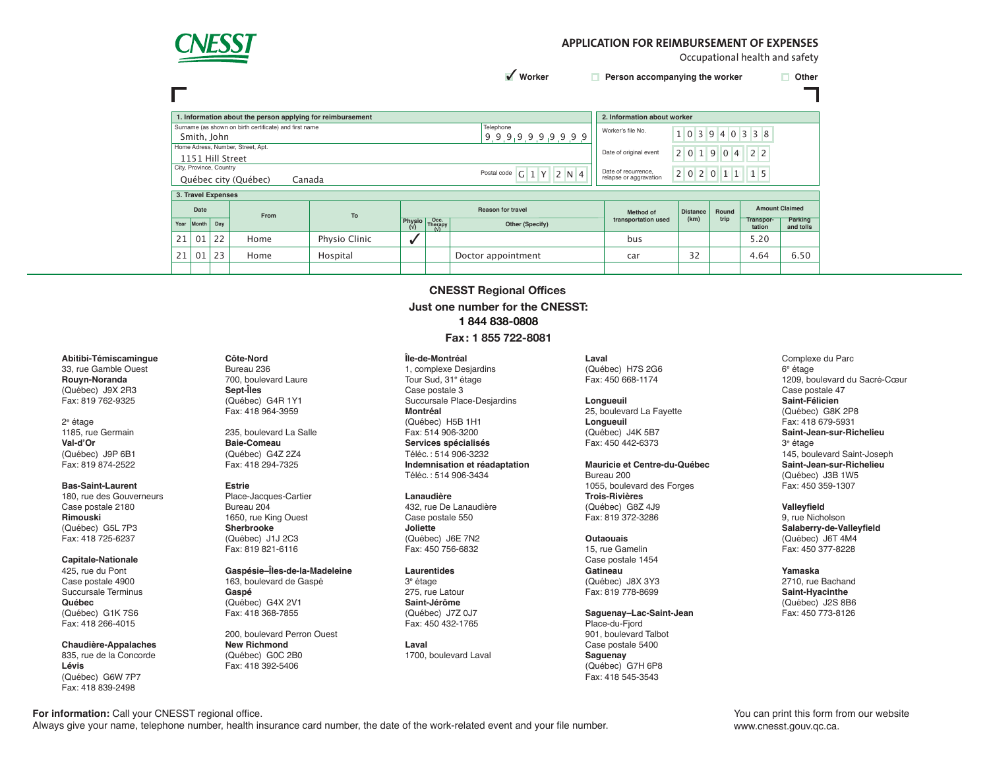

## **APPLICATION FOR REIMBURSEMENT OF EXPENSES**

Occupational health and safety

 $\sqrt{\phantom{a}}$  Worker

**Worker Person accompanying the worker D** Other

| 1. Information about the person applying for reimbursement          |                         |     |                                   |               |                               |                 |                          | 2. Information about worker |                 |                |                     |                       |  |
|---------------------------------------------------------------------|-------------------------|-----|-----------------------------------|---------------|-------------------------------|-----------------|--------------------------|-----------------------------|-----------------|----------------|---------------------|-----------------------|--|
| Surname (as shown on birth certificate) and first name<br>Telephone |                         |     |                                   |               |                               |                 |                          | Worker's file No.           |                 |                |                     |                       |  |
|                                                                     | Smith, John             |     |                                   |               |                               |                 | 9,9,9,9,9,9,9,9,9,9      |                             |                 |                | 1 0 3 9 4 0 3 3 8   |                       |  |
|                                                                     |                         |     | Home Adress, Number, Street, Apt. |               |                               |                 |                          | Date of original event      |                 |                |                     |                       |  |
|                                                                     | 1151 Hill Street        |     |                                   |               |                               |                 |                          |                             | 2 0 1 9         | 0 <sub>4</sub> | 2 <sub>2</sub>      |                       |  |
|                                                                     | City, Province, Country |     |                                   |               |                               |                 | Postal code              | Date of recurrence,         |                 |                |                     |                       |  |
|                                                                     |                         |     | Québec city (Québec)<br>Canada    |               |                               |                 | 2 N 4<br>$G$ 1 Y         | relapse or aggravation      | 2 0 2 0 1 1     |                | 1 5                 |                       |  |
|                                                                     |                         |     |                                   |               |                               |                 |                          |                             |                 |                |                     |                       |  |
|                                                                     |                         |     |                                   |               |                               |                 |                          |                             |                 |                |                     |                       |  |
|                                                                     | 3. Travel Expenses      |     |                                   |               |                               |                 |                          |                             |                 |                |                     |                       |  |
|                                                                     | Date                    |     | From                              |               |                               |                 | <b>Reason for travel</b> | Method of                   | <b>Distance</b> | Round          |                     | <b>Amount Claimed</b> |  |
| Year                                                                | Month                   | Day |                                   | To            | <b>Physio</b><br>$(\sqrt{2})$ | Occ.<br>Therapy | Other (Specify)          | transportation used         | (km)            | trip           | Transpor-<br>tation | Parking<br>and tolls  |  |
| 21                                                                  | 0 <sub>1</sub>          | 22  | Home                              | Physio Clinic | ັ                             |                 |                          | bus                         |                 |                | 5.20                |                       |  |
| 21                                                                  | 01                      | 23  | Home                              | Hospital      |                               |                 | Doctor appointment       | car                         | 32              |                | 4.64                | 6.50                  |  |

**CNESST Regional Offices Just one number for the CNESST: 1 844 838-0808 Fax: 1 855 722-8081**

> **Laval** (Québec) H7S 2G6 Fax: 450 668-1174

> > 25, boulevard La Fayette **25, boulevard La Fayette**(Qué **Advance received**  (Québec) J4K 5B7 **Longueuil Longueuil** Fax: 450 442-6373

**applying for reimbursement** Y Y Y Y M M D D **Mauricie et Centre-du-Québec**

Bureau 200 1055, boulevard des Forges **Trois-Rivières** (Québec) G8Z 4J9 Fax: 819 372-3286

**Outaouais**

15, rue Gamelin Case postale 1454 **Gatineau**

(Québec) J8X 3Y3 Fax: 819 778-8699

**Saguenay–Lac-Saint-Jean** Place-du-Fiord 901, boulevard Talbot Case postale 5400 **Saguenay** (Québec) G7H 6P8 Fax: 418 545-3543

**(if applicable) \$ Saint-Jean-sur-Richelieu** Complexe du Parc 6e étage 1209, boulevard du Sacré-Cœur Case postale 47 **Saint-Félicien** (Québec) G8K 2P8 Fax: 418 679-5931 3e étage 145, boulevard Saint-Joseph **Saint-Jean-sur-Richelieu** (Québec) J3B 1W5 Fax: 450 359-1307

**Valleyfield** 9, rue Nicholson **Salaberry-de-Valleyfield** (Québec) J6T 4M4 Fax: 450 377-8228

**Yamaska** 2710, rue Bachand **Saint-Hyacinthe** (Québec) J2S 8B6 Fax: 450 773-8126

# **Abitibi-Témiscamingue**

33, rue Gamble Ouest **Rouyn-Noranda** (Québec) J9X 2R3 Fax: 819 762-9325

2e étage 1185, rue Germain **Val-d'Or**  (Québec) J9P 6B1 Fax: 819 874-2522

**Bas-Saint-Laurent**

180, rue des Gouverneurs Case postale 2180 **Rimouski**  (Québec) G5L 7P3 Fax: 418 725-6237

#### **Capitale-Nationale**

425, rue du Pont Case postale 4900 Succursale Terminus **Québec** (Québec) G1K 7S6 Fax: 418 266-4015

**Chaudière-Appalaches** 835, rue de la Concorde **Lévis**  (Québec) G6W 7P7 Fax: 418 839-2498

**If you received the CNESST's authorization to be accompanied, indicate:** Fax: 418 964-3959 **Côte-Nord** Bureau 236 700, boulevard Laure **Sept-Îles**  (Québec) G4R 1Y1

Fax: 418 294-7325 **Indemnisa Baie-Comeau**  (Québec) G4Z 2Z4

#### **Estrie**

Praco Sacque Place-Jacques-Cartier 1650, rue King Ouest **Sherbrooke**  (Québec) J1J 2C3 Fax: 819 821-6116

**Gaspésie–Îles-de-la-Madeleine**

163, boulevard de Gaspé **Gaspé** (Québec) G4X 2V1 Fax: 418 368-7855

200, boulevard Perron Ouest **New Richmond** (Québec) G0C 2B0 Fax: 418 392-5406

#### 235, boulevard La Salle **Fax:** 514 906-3200 (Québec) H5B 1H1 Fax: 514 906-3200 **Services spécialisés**

Succursale Place-Desjardins

**Île-de-Montréal** 1, complexe Desjardins Tour Sud, 31e étage Case postale 3

**Montréal**

**Signature of person Indemnisation et réadaptation I declare that the information provided in this form is true.** Téléc.: 514 906-3232 Téléc.: 514 906-3434

**Detach and return to the CNESST Lanaudière**

432, rue De Lanaudière Case postale 550 **Joliette** (Québec) J6E 7N2 Fax: 450 756-6832

#### **Laurentides**

3e étage 275, rue Latour **Saint-Jérôme** (Québec) J7Z 0J7 Fax: 450 432-1765

**Laval** 1700, boulevard Laval

**For information:** Call your CNESST regional office. Always give your name, telephone number, health insurance card number, the date of the work-related event and your file number. You can print this form from our website www.cnesst.gouv.qc.ca.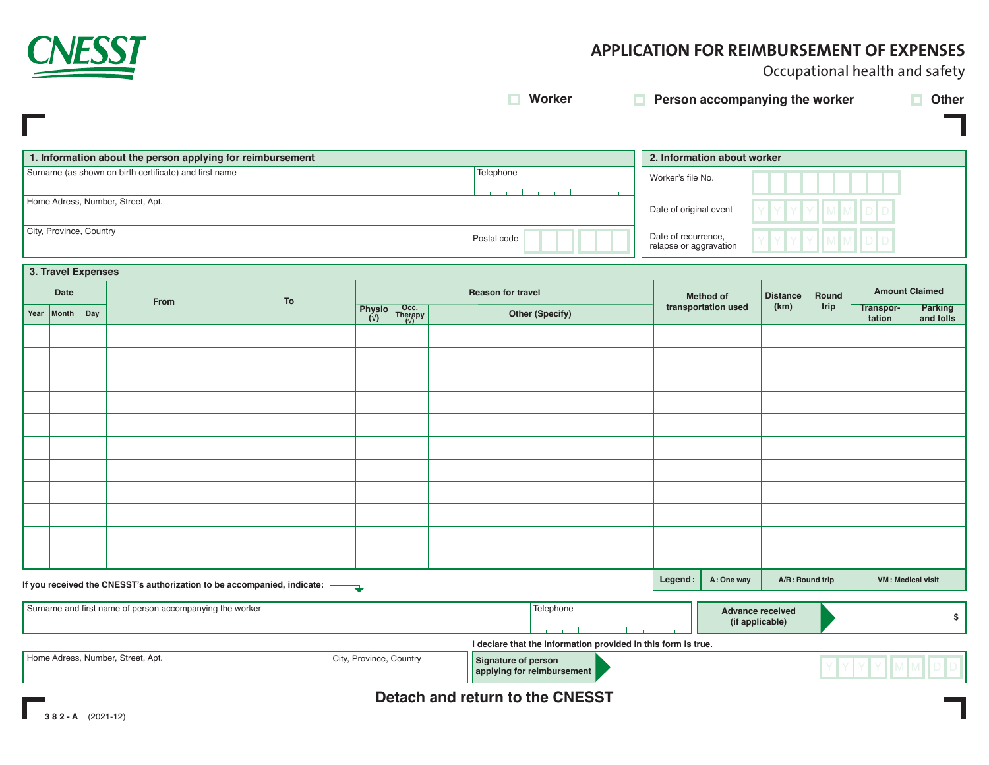

П

# **APPLICATION FOR REIMBURSEMENT OF EXPENSES**

Occupational health and safety

**Worker Person accompanying the worker Other**

| 1. Information about the person applying for reimbursement | 2. Information about worker |                                               |  |  |
|------------------------------------------------------------|-----------------------------|-----------------------------------------------|--|--|
| Surname (as shown on birth certificate) and first name     | Telephone                   | Worker's file No.                             |  |  |
| Home Adress, Number, Street, Apt.                          |                             | Date of original event                        |  |  |
| City, Province, Country                                    | Postal code                 | Date of recurrence,<br>relapse or aggravation |  |  |

|      | 3. Travel Expenses                                                        |                                                                                           |      |    |  |                   |                                                                                                                   |                        |                  |                     |                   |                       |                     |                             |
|------|---------------------------------------------------------------------------|-------------------------------------------------------------------------------------------|------|----|--|-------------------|-------------------------------------------------------------------------------------------------------------------|------------------------|------------------|---------------------|-------------------|-----------------------|---------------------|-----------------------------|
| Date |                                                                           |                                                                                           | From | To |  | Reason for travel |                                                                                                                   |                        | <b>Method of</b> | <b>Distance</b>     | Round             | <b>Amount Claimed</b> |                     |                             |
|      | Year                                                                      | Month                                                                                     | Day  |    |  |                   | Physio $\begin{array}{ c c }\n\hline\n\text{Physio} & \text{Therapy} \\ \hline\n\text{U} & \text{V}\n\end{array}$ | <b>Other (Specify)</b> |                  | transportation used | (km)              | trip                  | Transpor-<br>tation | <b>Parking</b><br>and tolls |
|      |                                                                           |                                                                                           |      |    |  |                   |                                                                                                                   |                        |                  |                     |                   |                       |                     |                             |
|      |                                                                           |                                                                                           |      |    |  |                   |                                                                                                                   |                        |                  |                     |                   |                       |                     |                             |
|      |                                                                           |                                                                                           |      |    |  |                   |                                                                                                                   |                        |                  |                     |                   |                       |                     |                             |
|      |                                                                           |                                                                                           |      |    |  |                   |                                                                                                                   |                        |                  |                     |                   |                       |                     |                             |
|      |                                                                           |                                                                                           |      |    |  |                   |                                                                                                                   |                        |                  |                     |                   |                       |                     |                             |
|      |                                                                           |                                                                                           |      |    |  |                   |                                                                                                                   |                        |                  |                     |                   |                       |                     |                             |
|      |                                                                           |                                                                                           |      |    |  |                   |                                                                                                                   |                        |                  |                     |                   |                       |                     |                             |
|      |                                                                           |                                                                                           |      |    |  |                   |                                                                                                                   |                        |                  |                     |                   |                       |                     |                             |
|      |                                                                           |                                                                                           |      |    |  |                   |                                                                                                                   |                        |                  |                     |                   |                       |                     |                             |
|      |                                                                           |                                                                                           |      |    |  |                   |                                                                                                                   |                        |                  |                     |                   |                       |                     |                             |
|      |                                                                           |                                                                                           |      |    |  |                   |                                                                                                                   |                        |                  |                     |                   |                       |                     |                             |
|      | If you received the CNESST's authorization to be accompanied, indicate: — |                                                                                           |      |    |  |                   | Legend:                                                                                                           | A: One way             |                  | A/R: Round trip     | VM: Medical visit |                       |                     |                             |
|      |                                                                           | Surname and first name of person accompanying the worker<br>Telephone<br>Advance resolued |      |    |  |                   |                                                                                                                   |                        |                  |                     |                   |                       |                     |                             |

| Surname and first name of person accompanying the worker |                         | Telephone                                                     | <b>Advance received</b><br>(if applicable) |  |
|----------------------------------------------------------|-------------------------|---------------------------------------------------------------|--------------------------------------------|--|
|                                                          |                         | I declare that the information provided in this form is true. |                                            |  |
| Home Adress, Number, Street, Apt.                        | City, Province, Country | Signature of person<br><b>A</b> applying for reimbursement    |                                            |  |

**Detach and return to the CNESST**